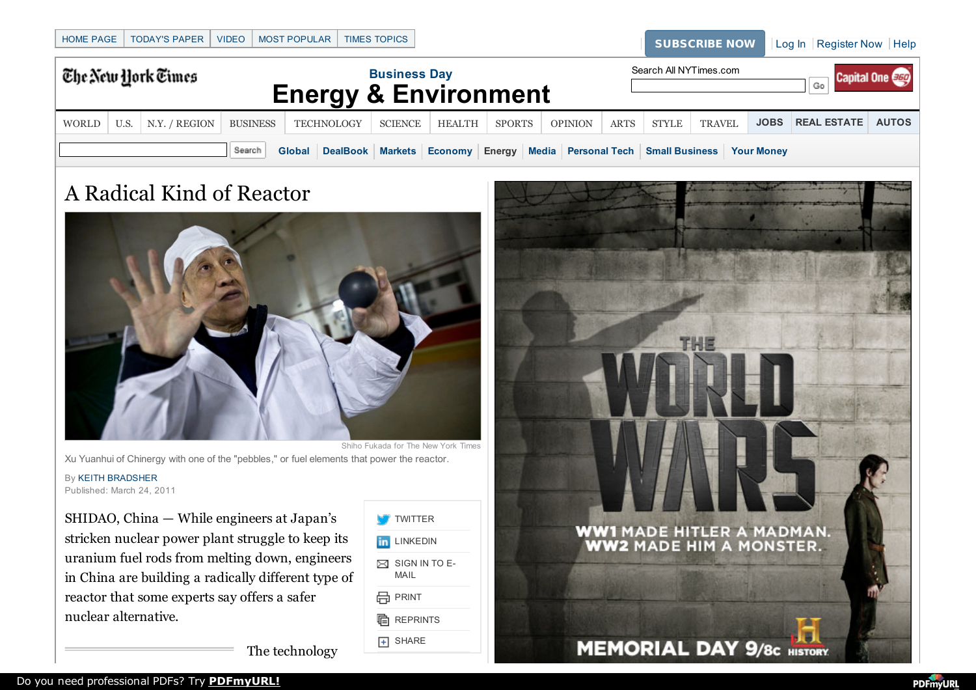**[SUBSCRIBE](http://www.nytimes.com/adx/bin/adx_click.html?type=goto&opzn&page=www.nytimes.com/yr/mo/day/business/energy-environment&pos=Bar1&sn2=48f222b1/c3e822ef&sn1=fe6778ef/62488723&camp=nyt2014_bar1_digi_may_holi_46KJW_46KJY&ad=nyt2014_bar1_digi_may_holi_46KJW_46KJY&goto=http%3A%2F%2Fwww%2Enytimes%2Ecom%2Fsubscriptions%2FMultiproduct%2Flp3LWQ4%2Ehtml%3Fadxc%3D246544%26adxa%3D372455%26page%3Dwww.nytimes.com/yr/mo/day/business/energy-environment/25chinanuke.html%26pos%3DBar1%26campaignId%3D46KJW) NOW [Log](https://myaccount.nytimes.com/auth/login?URI=http://www.nytimes.com/2011/03/25/business/energy-environment/25chinanuke.html?pagewanted=all&_r=0) In [Register](https://myaccount.nytimes.com/gst/regi.html) Now [Help](http://www.nytimes.com/membercenter/sitehelp.html)** 

| The New York Times |      |               | <b>Business Day</b><br><b>Energy &amp; Environment</b> |                                                                                      |         |               |               |                | Search All NYTimes.com |       |               |  | ∣ Go               | Capital One <b>EGQ</b> |  |
|--------------------|------|---------------|--------------------------------------------------------|--------------------------------------------------------------------------------------|---------|---------------|---------------|----------------|------------------------|-------|---------------|--|--------------------|------------------------|--|
| WORLD              | U.S. | N.Y. / REGION | <b>BUSINESS</b>                                        | TECHNOLOGY                                                                           | SCIENCE | <b>HEALTH</b> | <b>SPORTS</b> | <b>OPINION</b> | <b>ARTS</b>            | STYLE | <b>TRAVEL</b> |  | JOBS   REAL ESTATE | <b>AUTOS</b>           |  |
|                    |      |               | Search                                                 | Global DealBook Markets Economy Energy Media Personal Tech Small Business Your Money |         |               |               |                |                        |       |               |  |                    |                        |  |

## A Radical Kind of Reactor



Xu Yuanhui of Chinergy with one of the "pebbles," or fuel elements that power the reactor. By KEITH [BRADSHER](http://topics.nytimes.com/top/reference/timestopics/people/b/keith_bradsher/index.html?inline=nyt-per) Published: March 24, 2011

The technology

SHIDAO, China — While engineers at Japan's stricken nuclear power plant struggle to keep its uranium fuel rods from melting down, engineers in China are building a radically different type of reactor that some experts say offers a safer nuclear alternative.

|                    | TWITTER                   |
|--------------------|---------------------------|
| <b>in</b> LINKEDIN |                           |
| MAIL               | $\boxtimes$ SIGN IN TO E- |
| 台 PRINT            |                           |
|                    | <b>REPRINTS</b>           |
| $H$ SHARE          |                           |



Do you need professional PDFs? Try **[PDFmyURL!](http://pdfmyurl.com)**

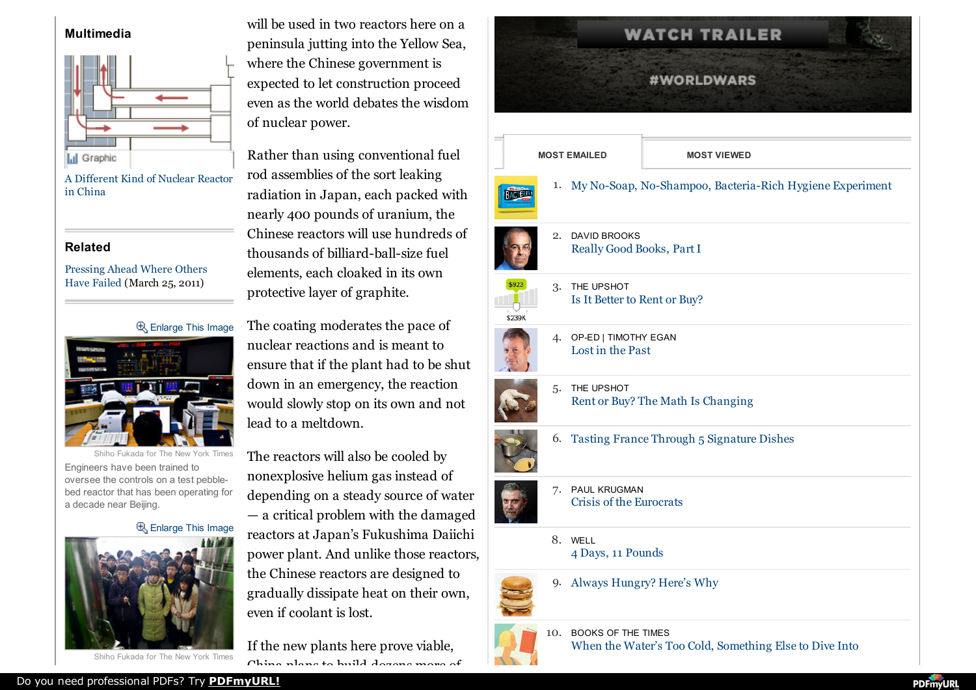## **Multimedia**



A [Different](http://www.nytimes.com/interactive/2011/03/25/business/energy-environment/20110325-chinanuke.html?ref=energy-environment) Kind of Nuclear Reactor in China

## **Related**

[Pressing](http://www.nytimes.com/2011/03/25/business/global/25chinaside.html?ref=energy-environment) Ahead Where Others Have Failed (March 25, 2011)

**E**<sub>S</sub> [Enlarge](javascript:pop_me_up2() This Image



Engineers have been trained to oversee the controls on a test pebblebed reactor that has been operating for a decade near Beijing.



Shiho Fukada for The New York Times

will be used in two reactors here on a peninsula jutting into the Yellow Sea, where the Chinese government is expected to let construction proceed even as the world debates the wisdom of nuclear power.

Rather than using conventional fuel rod assemblies of the sort leaking radiation in Japan, each packed with nearly 400 pounds of uranium, the Chinese reactors will use hundreds of thousands of billiard-ball-size fuel elements, each cloaked in its own protective layer of graphite.

The coating moderates the pace of nuclear reactions and is meant to ensure that if the plant had to be shut down in an emergency, the reaction would slowly stop on its own and not lead to a meltdown.

The reactors will also be cooled by nonexplosive helium gas instead of depending on a steady source of water — a critical problem with the damaged reactors at Japan's Fukushima Daiichi power plant. And unlike those reactors, the Chinese reactors are designed to gradually dissipate heat on their own, even if coolant is lost.

If the new plants here prove viable, China plans to build dozens more of



Do you need professional PDFs? Try **[PDFmyURL!](http://pdfmyurl.com)**

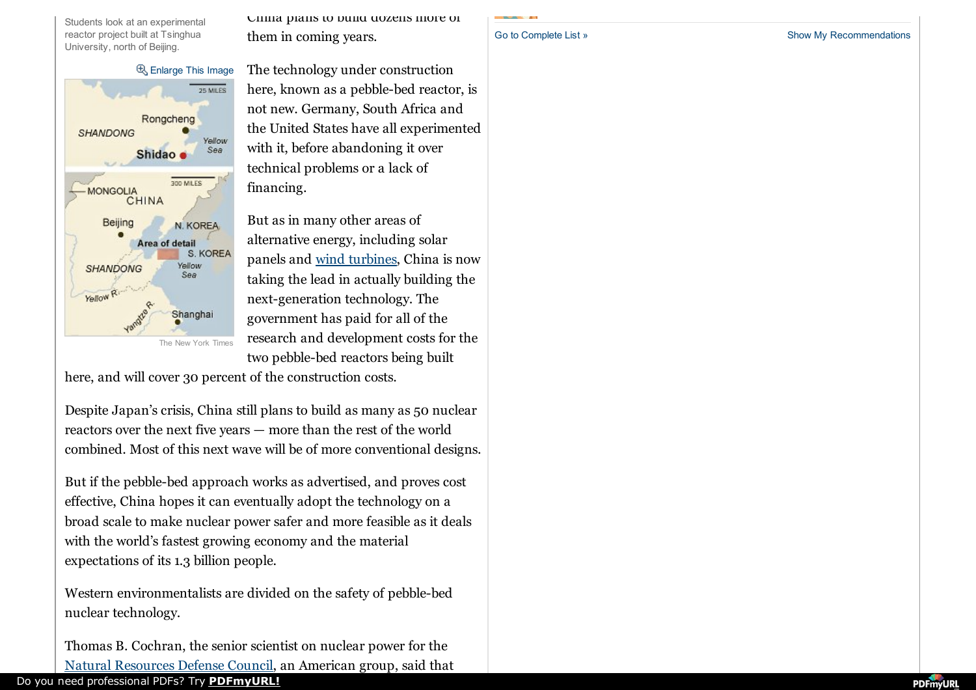Students look at an experimental reactor project built at Tsinghua University, north of Beijing.



China plans to build dozens more of them in coming years.

The technology under construction here, known as a pebble-bed reactor, is not new. Germany, South Africa and the United States have all experimented with it, before abandoning it over technical problems or a lack of financing.

But as in many other areas of alternative energy, including solar panels and wind [turbines](http://topics.nytimes.com/top/reference/timestopics/subjects/w/wind_power/index.html?inline=nyt-classifier), China is now taking the lead in actually building the next-generation technology. The government has paid for all of the research and development costs for the two pebble-bed reactors being built

here, and will cover 30 percent of the construction costs.

Despite Japan's crisis, China still plans to build as many as 50 nuclear reactors over the next five years — more than the rest of the world combined. Most of this next wave will be of more conventional designs.

But if the pebble-bed approach works as advertised, and proves cost effective, China hopes it can eventually adopt the technology on a broad scale to make nuclear power safer and more feasible as it deals with the world's fastest growing economy and the material expectations of its 1.3 billion people.

Western environmentalists are divided on the safety of pebble-bed nuclear technology.

Thomas B. Cochran, the senior scientist on nuclear power for the Natural [Resources](http://topics.nytimes.com/top/reference/timestopics/organizations/n/natural_resources_defense_council/index.html?inline=nyt-org) Defense Council, an American group, said that Do you need professional PDFs? Try **[PDFmyURL!](http://pdfmyurl.com)**

Go to [Complete](http://www.nytimes.com/gst/mostpopular.html) List » Show My Recommendations

**PDFmvURL**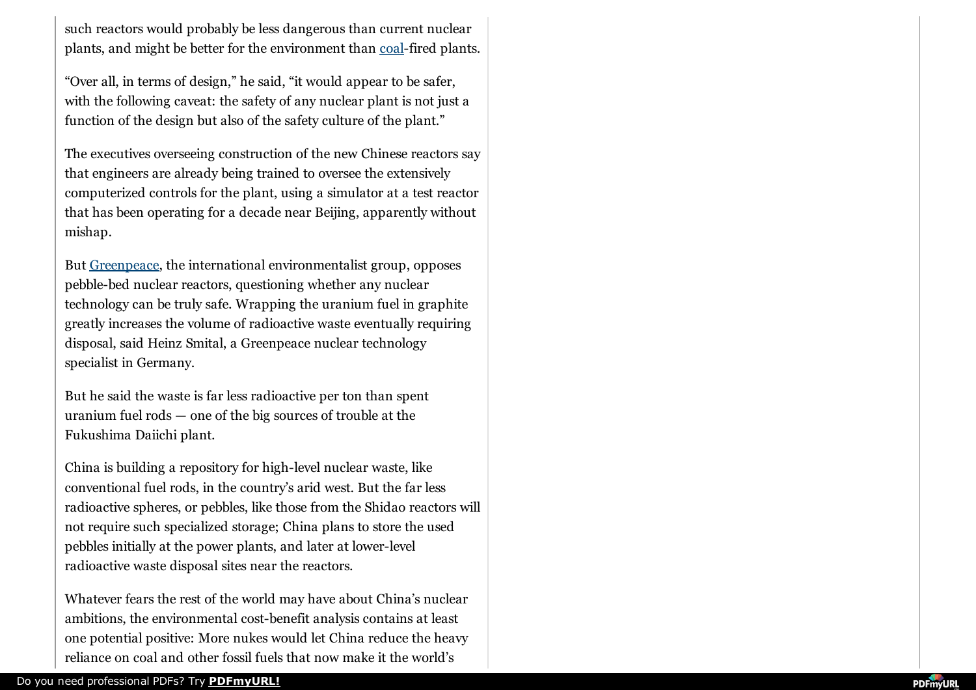such reactors would probably be less dangerous than current nuclear plants, and might be better for the environment than [coal](http://topics.nytimes.com/top/reference/timestopics/subjects/c/coal/index.html?inline=nyt-classifier)-fired plants.

"Over all, in terms of design," he said, "it would appear to be safer, with the following caveat: the safety of any nuclear plant is not just a function of the design but also of the safety culture of the plant."

The executives overseeing construction of the new Chinese reactors say that engineers are already being trained to oversee the extensively computerized controls for the plant, using a simulator at a test reactor that has been operating for a decade near Beijing, apparently without mishap.

But [Greenpeace](http://topics.nytimes.com/top/reference/timestopics/organizations/g/greenpeace/index.html?inline=nyt-org), the international environmentalist group, opposes pebble-bed nuclear reactors, questioning whether any nuclear technology can be truly safe. Wrapping the uranium fuel in graphite greatly increases the volume of radioactive waste eventually requiring disposal, said Heinz Smital, a Greenpeace nuclear technology specialist in Germany.

But he said the waste is far less radioactive per ton than spent uranium fuel rods — one of the big sources of trouble at the Fukushima Daiichi plant.

China is building a repository for high-level nuclear waste, like conventional fuel rods, in the country's arid west. But the far less radioactive spheres, or pebbles, like those from the Shidao reactors will not require such specialized storage; China plans to store the used pebbles initially at the power plants, and later at lower-level radioactive waste disposal sites near the reactors.

Whatever fears the rest of the world may have about China's nuclear ambitions, the environmental cost-benefit analysis contains at least one potential positive: More nukes would let China reduce the heavy reliance on coal and other fossil fuels that now make it the world's

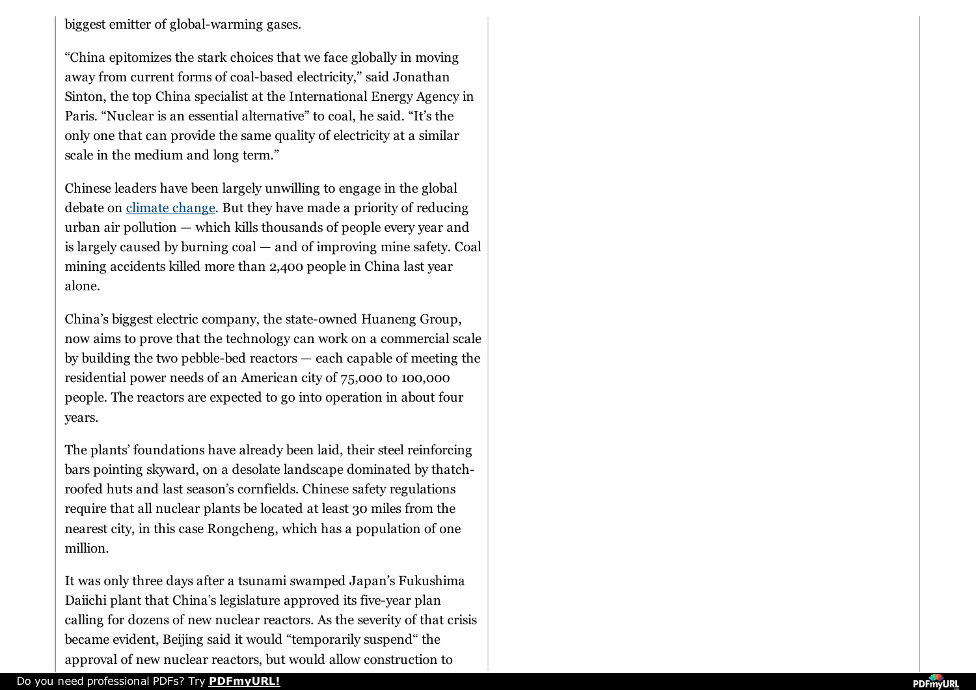biggest emitter of global-warming gases.

"China epitomizes the stark choices that we face globally in moving away from current forms of coal-based electricity," said Jonathan Sinton, the top China specialist at the International Energy Agency in Paris. "Nuclear is an essential alternative" to coal, he said. "It's the only one that can provide the same quality of electricity at a similar scale in the medium and long term."

Chinese leaders have been largely unwilling to engage in the global debate on [climate](http://topics.nytimes.com/top/news/science/topics/globalwarming/index.html?inline=nyt-classifier) change. But they have made a priority of reducing urban air pollution — which kills thousands of people every year and is largely caused by burning coal — and of improving mine safety. Coal mining accidents killed more than 2,400 people in China last year alone.

China's biggest electric company, the state-owned Huaneng Group, now aims to prove that the technology can work on a commercial scale by building the two pebble-bed reactors — each capable of meeting the residential power needs of an American city of 75,000 to 100,000 people. The reactors are expected to go into operation in about four years.

The plants' foundations have already been laid, their steel reinforcing bars pointing skyward, on a desolate landscape dominated by thatchroofed huts and last season's cornfields. Chinese safety regulations require that all nuclear plants be located at least 30 miles from the nearest city, in this case Rongcheng, which has a population of one million.

It was only three days after a tsunami swamped Japan's Fukushima Daiichi plant that China's legislature approved its five-year plan calling for dozens of new nuclear reactors. As the severity of that crisis became evident, Beijing said it would "temporarily suspend" the approval of new nuclear reactors, but would allow construction to

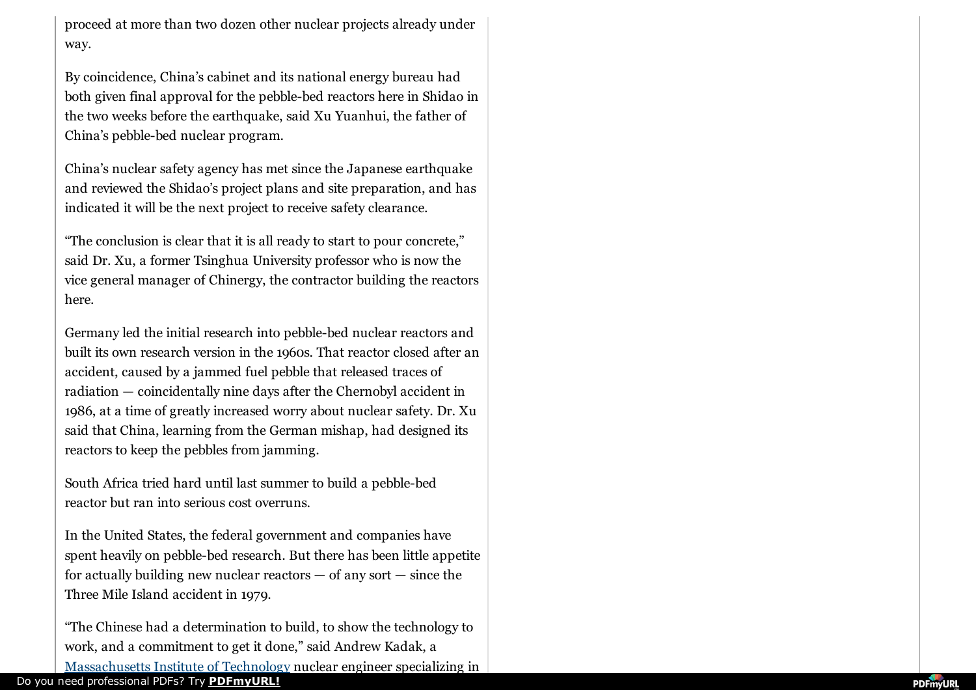proceed at more than two dozen other nuclear projects already under way.

By coincidence, China's cabinet and its national energy bureau had both given final approval for the pebble-bed reactors here in Shidao in the two weeks before the earthquake, said Xu Yuanhui, the father of China's pebble-bed nuclear program.

China's nuclear safety agency has met since the Japanese earthquake and reviewed the Shidao's project plans and site preparation, and has indicated it will be the next project to receive safety clearance.

"The conclusion is clear that it is all ready to start to pour concrete," said Dr. Xu, a former Tsinghua University professor who is now the vice general manager of Chinergy, the contractor building the reactors here.

Germany led the initial research into pebble-bed nuclear reactors and built its own research version in the 1960s. That reactor closed after an accident, caused by a jammed fuel pebble that released traces of radiation — coincidentally nine days after the Chernobyl accident in 1986, at a time of greatly increased worry about nuclear safety. Dr. Xu said that China, learning from the German mishap, had designed its reactors to keep the pebbles from jamming.

South Africa tried hard until last summer to build a pebble-bed reactor but ran into serious cost overruns.

In the United States, the federal government and companies have spent heavily on pebble-bed research. But there has been little appetite for actually building new nuclear reactors  $-$  of any sort  $-$  since the Three Mile Island accident in 1979.

"The Chinese had a determination to build, to show the technology to work, and a commitment to get it done," said Andrew Kadak, a [Massachusetts](http://topics.nytimes.com/top/reference/timestopics/organizations/m/massachusetts_institute_of_technology/index.html?inline=nyt-org) Institute of Technology nuclear engineer specializing in Do you need professional PDFs? Try **[PDFmyURL!](http://pdfmyurl.com)**

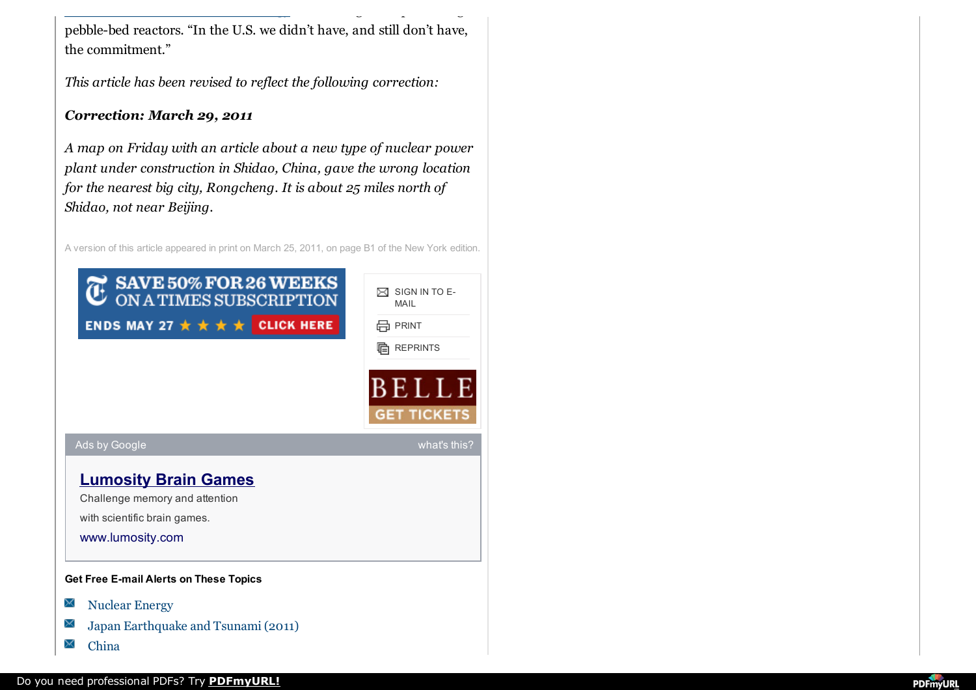pebble-bed reactors. "In the U.S. we didn't have, and still don't have, the commitment."

Massachusetts Institute of Technology nuclear engineer specializing in

*This article has been revised to reflect the following correction:*

## *Correction: March 29, 2011*

*A map on Friday with an article about a new type of nuclear power plant under construction in Shidao, China, gave the wrong location for the nearest big city, Rongcheng. It is about 25 miles north of Shidao, not near Beijing.*

A version of this article appeared in print on March 25, 2011, on page B1 of the New York edition.